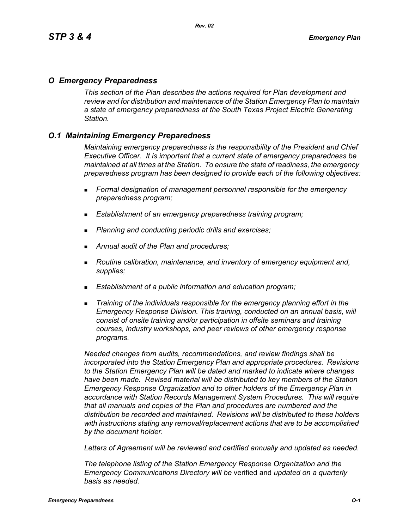### *O Emergency Preparedness*

*This section of the Plan describes the actions required for Plan development and review and for distribution and maintenance of the Station Emergency Plan to maintain a state of emergency preparedness at the South Texas Project Electric Generating Station.*

# *O.1 Maintaining Emergency Preparedness*

*Maintaining emergency preparedness is the responsibility of the President and Chief Executive Officer. It is important that a current state of emergency preparedness be maintained at all times at the Station. To ensure the state of readiness, the emergency preparedness program has been designed to provide each of the following objectives:*

- *Formal designation of management personnel responsible for the emergency preparedness program;*
- *Establishment of an emergency preparedness training program;*
- *Planning and conducting periodic drills and exercises;*
- *Annual audit of the Plan and procedures;*
- *Routine calibration, maintenance, and inventory of emergency equipment and, supplies;*
- *Establishment of a public information and education program;*
- *Training of the individuals responsible for the emergency planning effort in the Emergency Response Division. This training, conducted on an annual basis, will consist of onsite training and/or participation in offsite seminars and training courses, industry workshops, and peer reviews of other emergency response programs.*

*Needed changes from audits, recommendations, and review findings shall be incorporated into the Station Emergency Plan and appropriate procedures. Revisions to the Station Emergency Plan will be dated and marked to indicate where changes have been made. Revised material will be distributed to key members of the Station Emergency Response Organization and to other holders of the Emergency Plan in accordance with Station Records Management System Procedures. This will require that all manuals and copies of the Plan and procedures are numbered and the distribution be recorded and maintained. Revisions will be distributed to these holders with instructions stating any removal/replacement actions that are to be accomplished by the document holder.*

*Letters of Agreement will be reviewed and certified annually and updated as needed.*

*The telephone listing of the Station Emergency Response Organization and the Emergency Communications Directory will be* verified and *updated on a quarterly basis as needed.*